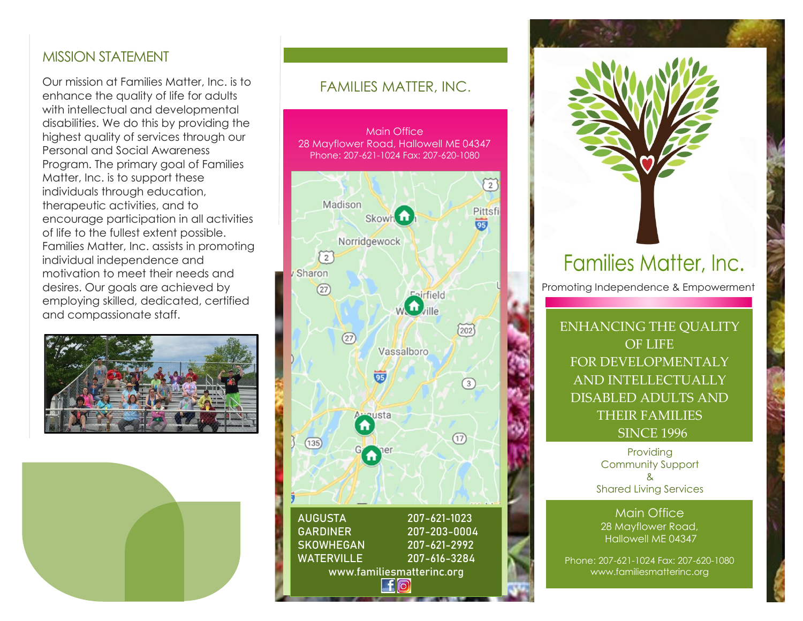### MISSION STATEMENT

Our mission at Families Matter, Inc. is to enhance the quality of life for adults with intellectual and developmental disabilities. We do this by providing the highest quality of services through our Personal and Social Awareness Program. The primary goal of Families Matter, Inc. is to support these individuals through education, therapeutic activities, and to encourage participation in all activities of life to the fullest extent possible. Families Matter, Inc. assists in promoting individual independence and motivation to meet their needs and desires. Our goals are achieved by employing skilled, dedicated, certified and compassionate staff.





### FAMILIES MATTER, INC.

Main Office 28 Mayflower Road, Hallowell ME 04347 Phone: 207-621-1024 Fax: 207-620-1080



Families Matter, Inc.

Promoting Independence & Empowerment

ENHANCING THE QUALITY OF LIFE FOR DEVELOPMENTALY AND INTELLECTUALLY DISABLED ADULTS AND THEIR FAMILIES SINCE 1996

> Providing Community Support & Shared Living Services

Main Office 28 Mayflower Road, Hallowell ME 04347

Phone: 207-621-1024 Fax: 207-620-1080 www.familiesmatterinc.org